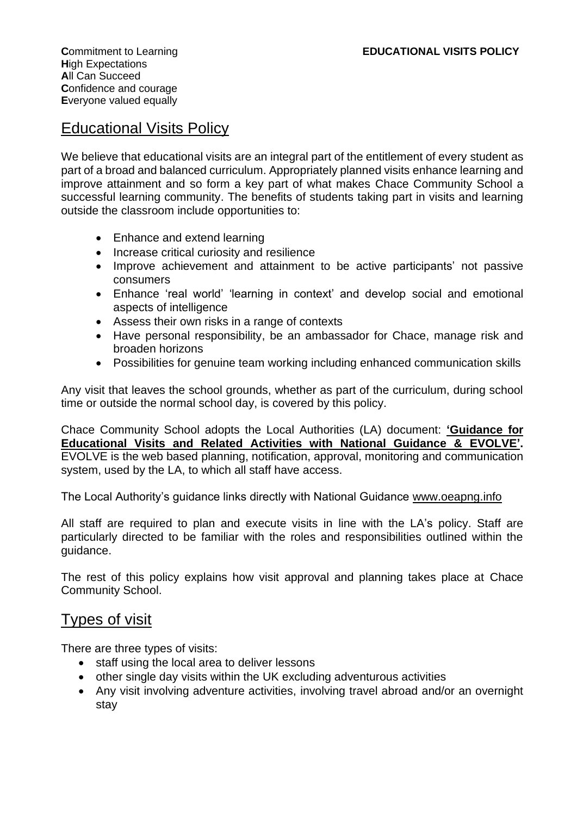## Educational Visits Policy

We believe that educational visits are an integral part of the entitlement of every student as part of a broad and balanced curriculum. Appropriately planned visits enhance learning and improve attainment and so form a key part of what makes Chace Community School a successful learning community. The benefits of students taking part in visits and learning outside the classroom include opportunities to:

- Enhance and extend learning
- Increase critical curiosity and resilience
- Improve achievement and attainment to be active participants' not passive consumers
- Enhance 'real world' 'learning in context' and develop social and emotional aspects of intelligence
- Assess their own risks in a range of contexts
- Have personal responsibility, be an ambassador for Chace, manage risk and broaden horizons
- Possibilities for genuine team working including enhanced communication skills

Any visit that leaves the school grounds, whether as part of the curriculum, during school time or outside the normal school day, is covered by this policy.

Chace Community School adopts the Local Authorities (LA) document: **'Guidance for Educational Visits and Related Activities with National Guidance & EVOLVE'.**  EVOLVE is the web based planning, notification, approval, monitoring and communication system, used by the LA, to which all staff have access.

The Local Authority's guidance links directly with National Guidance [www.oeapng.info](http://www.oeapng.info/)

All staff are required to plan and execute visits in line with the LA's policy. Staff are particularly directed to be familiar with the roles and responsibilities outlined within the guidance.

The rest of this policy explains how visit approval and planning takes place at Chace Community School.

#### Types of visit

There are three types of visits:

- staff using the local area to deliver lessons
- other single day visits within the UK excluding adventurous activities
- Any visit involving adventure activities, involving travel abroad and/or an overnight stay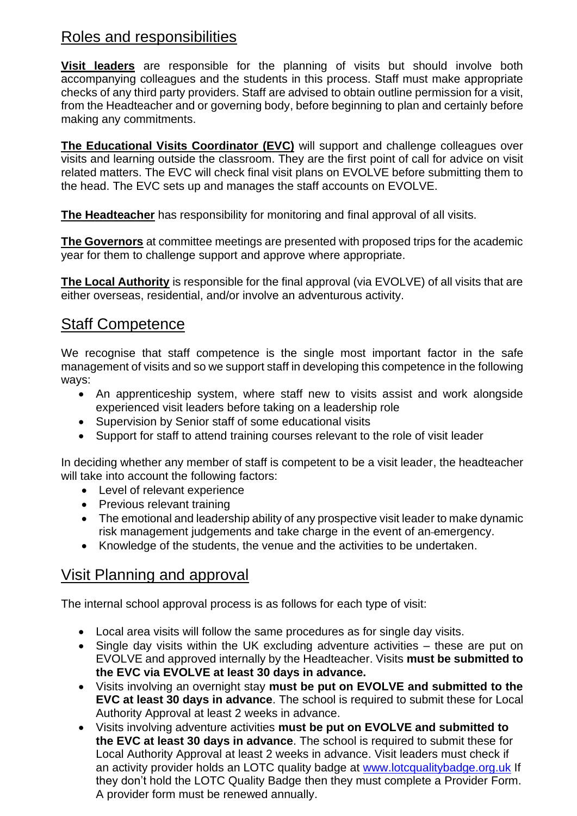# Roles and responsibilities

**Visit leaders** are responsible for the planning of visits but should involve both accompanying colleagues and the students in this process. Staff must make appropriate checks of any third party providers. Staff are advised to obtain outline permission for a visit, from the Headteacher and or governing body, before beginning to plan and certainly before making any commitments.

**The Educational Visits Coordinator (EVC)** will support and challenge colleagues over visits and learning outside the classroom. They are the first point of call for advice on visit related matters. The EVC will check final visit plans on EVOLVE before submitting them to the head. The EVC sets up and manages the staff accounts on EVOLVE.

**The Headteacher** has responsibility for monitoring and final approval of all visits.

**The Governors** at committee meetings are presented with proposed trips for the academic year for them to challenge support and approve where appropriate.

**The Local Authority** is responsible for the final approval (via EVOLVE) of all visits that are either overseas, residential, and/or involve an adventurous activity.

## Staff Competence

We recognise that staff competence is the single most important factor in the safe management of visits and so we support staff in developing this competence in the following ways:

- An apprenticeship system, where staff new to visits assist and work alongside experienced visit leaders before taking on a leadership role
- Supervision by Senior staff of some educational visits
- Support for staff to attend training courses relevant to the role of visit leader

In deciding whether any member of staff is competent to be a visit leader, the headteacher will take into account the following factors:

- Level of relevant experience
- Previous relevant training
- The emotional and leadership ability of any prospective visit leader to make dynamic risk management judgements and take charge in the event of an emergency.
- Knowledge of the students, the venue and the activities to be undertaken.

# Visit Planning and approval

The internal school approval process is as follows for each type of visit:

- Local area visits will follow the same procedures as for single day visits.
- Single day visits within the UK excluding adventure activities these are put on EVOLVE and approved internally by the Headteacher. Visits **must be submitted to the EVC via EVOLVE at least 30 days in advance.**
- Visits involving an overnight stay **must be put on EVOLVE and submitted to the EVC at least 30 days in advance**. The school is required to submit these for Local Authority Approval at least 2 weeks in advance.
- Visits involving adventure activities **must be put on EVOLVE and submitted to the EVC at least 30 days in advance**. The school is required to submit these for Local Authority Approval at least 2 weeks in advance. Visit leaders must check if an activity provider holds an LOTC quality badge at [www.lotcqualitybadge.org.uk](http://www.lotcqualitybadge.org.uk/) If they don't hold the LOTC Quality Badge then they must complete a Provider Form. A provider form must be renewed annually.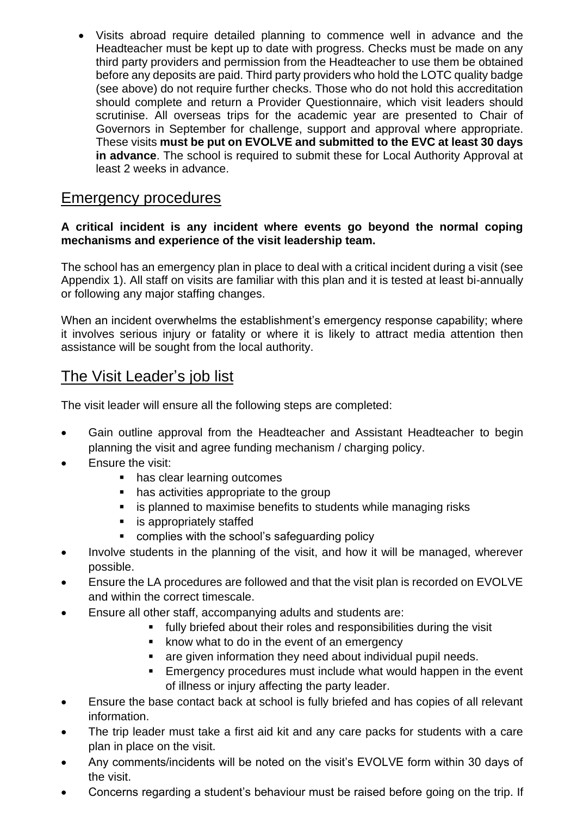• Visits abroad require detailed planning to commence well in advance and the Headteacher must be kept up to date with progress. Checks must be made on any third party providers and permission from the Headteacher to use them be obtained before any deposits are paid. Third party providers who hold the LOTC quality badge (see above) do not require further checks. Those who do not hold this accreditation should complete and return a Provider Questionnaire, which visit leaders should scrutinise. All overseas trips for the academic year are presented to Chair of Governors in September for challenge, support and approval where appropriate. These visits **must be put on EVOLVE and submitted to the EVC at least 30 days in advance**. The school is required to submit these for Local Authority Approval at least 2 weeks in advance.

#### Emergency procedures

#### **A critical incident is any incident where events go beyond the normal coping mechanisms and experience of the visit leadership team.**

The school has an emergency plan in place to deal with a critical incident during a visit (see Appendix 1). All staff on visits are familiar with this plan and it is tested at least bi-annually or following any major staffing changes.

When an incident overwhelms the establishment's emergency response capability; where it involves serious injury or fatality or where it is likely to attract media attention then assistance will be sought from the local authority.

## The Visit Leader's job list

The visit leader will ensure all the following steps are completed:

- Gain outline approval from the Headteacher and Assistant Headteacher to begin planning the visit and agree funding mechanism / charging policy.
- Ensure the visit:
	- has clear learning outcomes
	- has activities appropriate to the group
	- is planned to maximise benefits to students while managing risks
	- is appropriately staffed
	- complies with the school's safeguarding policy
- Involve students in the planning of the visit, and how it will be managed, wherever possible.
- Ensure the LA procedures are followed and that the visit plan is recorded on EVOLVE and within the correct timescale.
- Ensure all other staff, accompanying adults and students are:
	- fully briefed about their roles and responsibilities during the visit
	- know what to do in the event of an emergency
	- are given information they need about individual pupil needs.
	- **Emergency procedures must include what would happen in the event** of illness or injury affecting the party leader.
- Ensure the base contact back at school is fully briefed and has copies of all relevant information.
- The trip leader must take a first aid kit and any care packs for students with a care plan in place on the visit.
- Any comments/incidents will be noted on the visit's EVOLVE form within 30 days of the visit.
- Concerns regarding a student's behaviour must be raised before going on the trip. If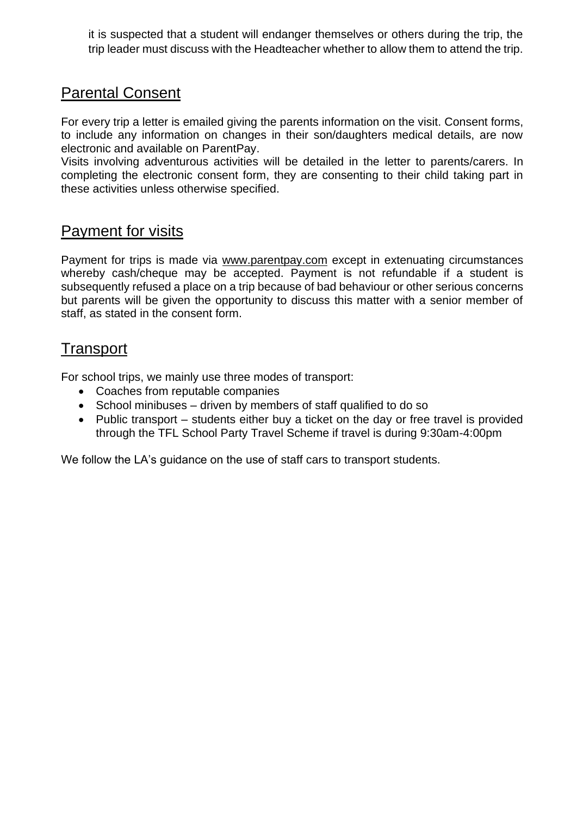it is suspected that a student will endanger themselves or others during the trip, the trip leader must discuss with the Headteacher whether to allow them to attend the trip.

## Parental Consent

For every trip a letter is emailed giving the parents information on the visit. Consent forms, to include any information on changes in their son/daughters medical details, are now electronic and available on ParentPay.

Visits involving adventurous activities will be detailed in the letter to parents/carers. In completing the electronic consent form, they are consenting to their child taking part in these activities unless otherwise specified.

#### Payment for visits

Payment for trips is made via [www.parentpay.com](http://www.parentpay.com/) except in extenuating circumstances whereby cash/cheque may be accepted. Payment is not refundable if a student is subsequently refused a place on a trip because of bad behaviour or other serious concerns but parents will be given the opportunity to discuss this matter with a senior member of staff, as stated in the consent form.

#### **Transport**

For school trips, we mainly use three modes of transport:

- Coaches from reputable companies
- School minibuses driven by members of staff qualified to do so
- Public transport students either buy a ticket on the day or free travel is provided through the TFL School Party Travel Scheme if travel is during 9:30am-4:00pm

We follow the LA's guidance on the use of staff cars to transport students.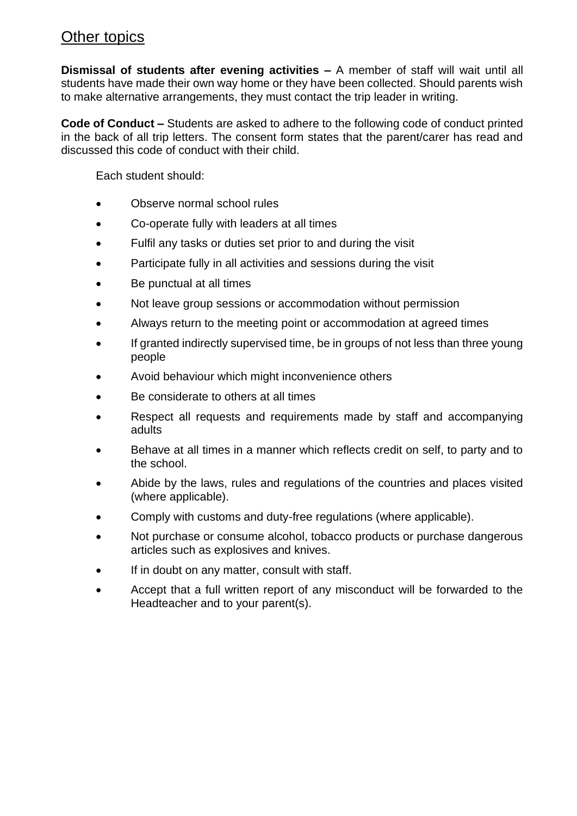## Other topics

**Dismissal of students after evening activities –** A member of staff will wait until all students have made their own way home or they have been collected. Should parents wish to make alternative arrangements, they must contact the trip leader in writing.

**Code of Conduct –** Students are asked to adhere to the following code of conduct printed in the back of all trip letters. The consent form states that the parent/carer has read and discussed this code of conduct with their child.

Each student should:

- Observe normal school rules
- Co-operate fully with leaders at all times
- Fulfil any tasks or duties set prior to and during the visit
- Participate fully in all activities and sessions during the visit
- Be punctual at all times
- Not leave group sessions or accommodation without permission
- Always return to the meeting point or accommodation at agreed times
- If granted indirectly supervised time, be in groups of not less than three young people
- Avoid behaviour which might inconvenience others
- Be considerate to others at all times
- Respect all requests and requirements made by staff and accompanying adults
- Behave at all times in a manner which reflects credit on self, to party and to the school.
- Abide by the laws, rules and regulations of the countries and places visited (where applicable).
- Comply with customs and duty-free regulations (where applicable).
- Not purchase or consume alcohol, tobacco products or purchase dangerous articles such as explosives and knives.
- If in doubt on any matter, consult with staff.
- Accept that a full written report of any misconduct will be forwarded to the Headteacher and to your parent(s).